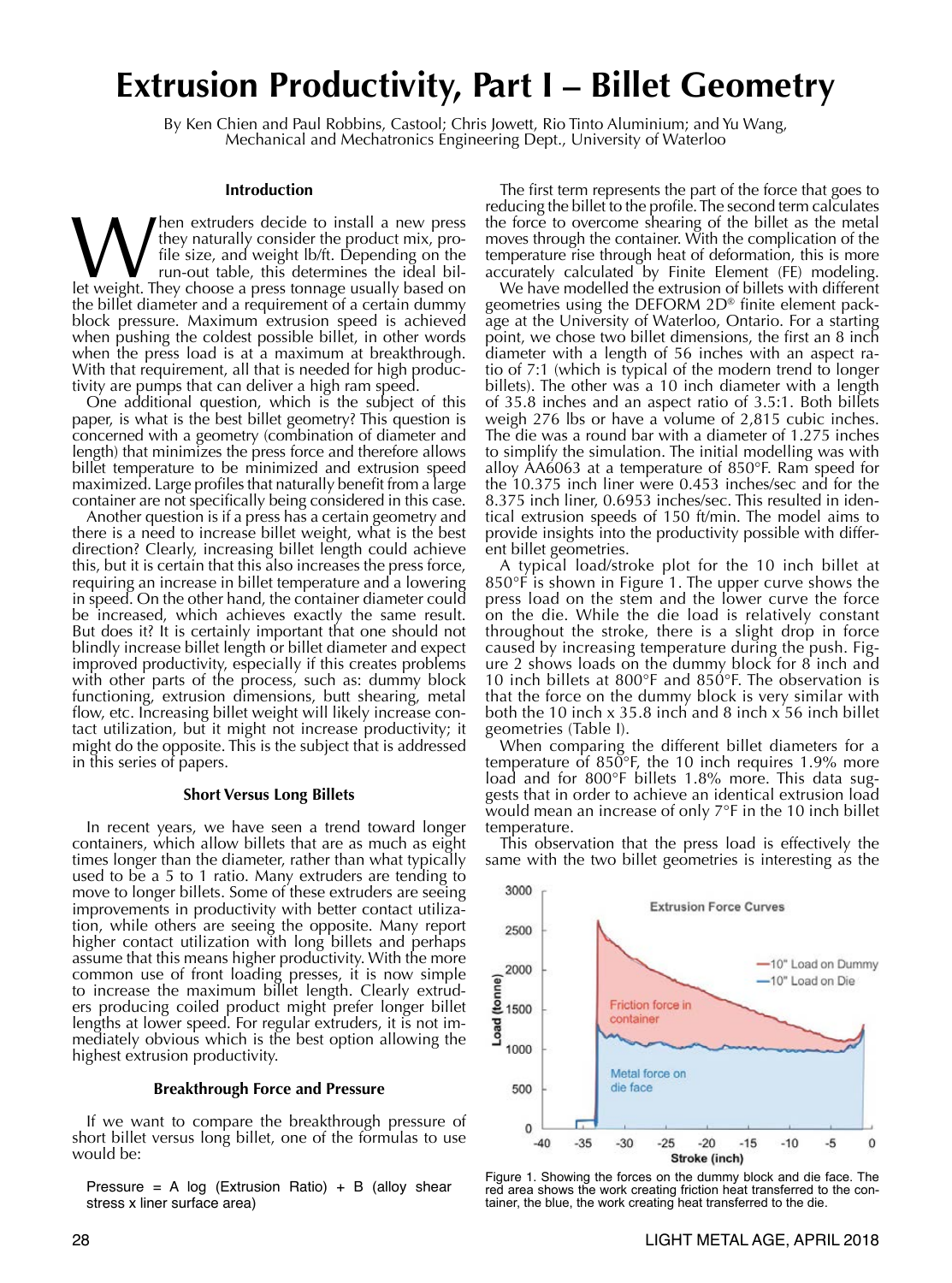# **Extrusion Productivity, Part I – Billet Geometry**

By Ken Chien and Paul Robbins, Castool; Chris Jowett, Rio Tinto Aluminium; and Yu Wang,<br>Mechanical and Mechatronics Engineering Dept., University of Waterloo

#### **Introduction**

**M** they naturally consider the product mix, pro-<br>file size, and weight lb/ft. Depending on the<br>run-out table, this determines the ideal bil-<br>let weight. They choose a press tonnage usually based on they naturally consider the product mix, profile size, and weight lb/ft. Depending on the run-out table, this determines the ideal bilthe billet diameter and a requirement of a certain dummy block pressure. Maximum extrusion speed is achieved when pushing the coldest possible billet, in other words when the press load is at a maximum at breakthrough. With that requirement, all that is needed for high productivity are pumps that can deliver a high ram speed.

One additional question, which is the subject of this paper, is what is the best billet geometry? This question is concerned with a geometry (combination of diameter and length) that minimizes the press force and therefore allows billet temperature to be minimized and extrusion speed maximized. Large profiles that naturally benefit from a large container are not specifically being considered in this case.

Another question is if a press has a certain geometry and there is a need to increase billet weight, what is the best direction? Clearly, increasing billet length could achieve this, but it is certain that this also increases the press force, requiring an increase in billet temperature and a lowering in speed. On the other hand, the container diameter could be increased, which achieves exactly the same result. But does it? It is certainly important that one should not blindly increase billet length or billet diameter and expect improved productivity, especially if this creates problems with other parts of the process, such as: dummy block functioning, extrusion dimensions, butt shearing, metal flow, etc. Increasing billet weight will likely increase contact utilization, but it might not increase productivity; it might do the opposite. This is the subject that is addressed in this series of papers.

#### **Short Versus Long Billets**

In recent years, we have seen a trend toward longer containers, which allow billets that are as much as eight times longer than the diameter, rather than what typically used to be a 5 to 1 ratio. Many extruders are tending to move to longer billets. Some of these extruders are seeing improvements in productivity with better contact utilization, while others are seeing the opposite. Many report higher contact utilization with long billets and perhaps assume that this means higher productivity. With the more common use of front loading presses, it is now simple to increase the maximum billet length. Clearly extruders producing coiled product might prefer longer billet lengths at lower speed. For regular extruders, it is not immediately obvious which is the best option allowing the highest extrusion productivity.

#### **Breakthrough Force and Pressure**

If we want to compare the breakthrough pressure of short billet versus long billet, one of the formulas to use would be:

Pressure = A log (Extrusion Ratio) + B (alloy shear stress x liner surface area)

The first term represents the part of the force that goes to reducing the billet to the profile. The second term calculates the force to overcome shearing of the billet as the metal moves through the container. With the complication of the temperature rise through heat of deformation, this is more accurately calculated by Finite Element (FE) modeling.

We have modelled the extrusion of billets with different geometries using the DEFORM 2D® finite element package at the University of Waterloo, Ontario. For a starting point, we chose two billet dimensions, the first an 8 inch diameter with a length of 56 inches with an aspect ratio of 7:1 (which is typical of the modern trend to longer billets). The other was a 10 inch diameter with a length of 35.8 inches and an aspect ratio of 3.5:1. Both billets weigh 276 lbs or have a volume of 2,815 cubic inches. The die was a round bar with a diameter of 1.275 inches to simplify the simulation. The initial modelling was with alloy AA6063 at a temperature of 850°F. Ram speed for the 10.375 inch liner were 0.453 inches/sec and for the 8.375 inch liner, 0.6953 inches/sec. This resulted in identical extrusion speeds of 150 ft/min. The model aims to provide insights into the productivity possible with different billet geometries.

A typical load/stroke plot for the 10 inch billet at 850°F is shown in Figure 1. The upper curve shows the press load on the stem and the lower curve the force on the die. While the die load is relatively constant throughout the stroke, there is a slight drop in force caused by increasing temperature during the push. Figure 2 shows loads on the dummy block for 8 inch and 10 inch billets at 800°F and 850°F. The observation is that the force on the dummy block is very similar with both the 10 inch x 35.8 inch and 8 inch x 56 inch billet geometries (Table I).

When comparing the different billet diameters for a temperature of 850 $\degree$ F, the 10 inch requires 1.9% more load and for 800°F billets 1.8% more. This data suggests that in order to achieve an identical extrusion load would mean an increase of only 7°F in the 10 inch billet temperature.

This observation that the press load is effectively the same with the two billet geometries is interesting as the



Figure 1. Showing the forces on the dummy block and die face. The red area shows the work creating friction heat transferred to the container, the blue, the work creating heat transferred to the die.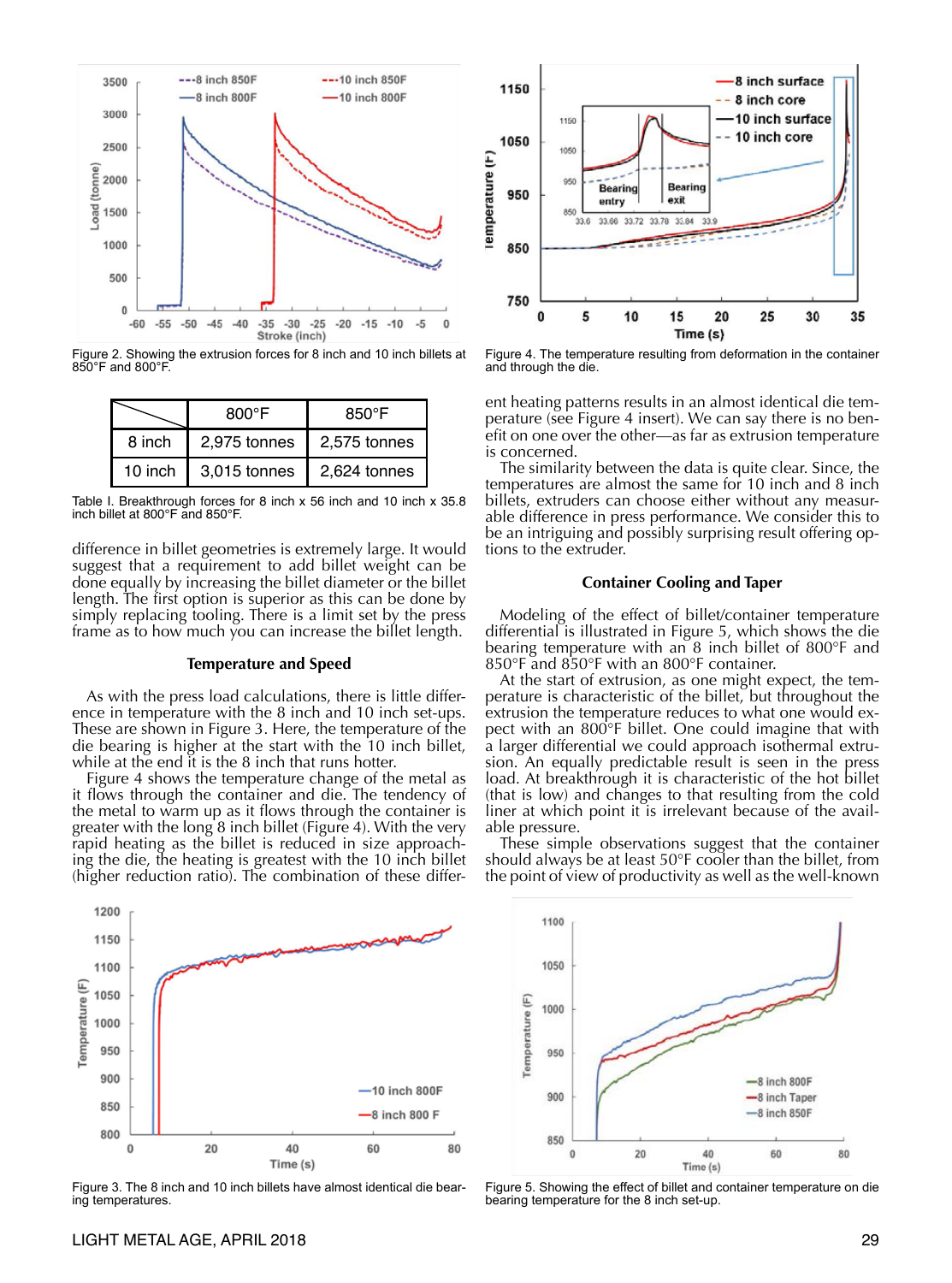

Figure 2. Showing the extrusion forces for 8 inch and 10 inch billets at 850°F and 800°F.

|         | 800°F        | $850^{\circ}$ F |  |
|---------|--------------|-----------------|--|
| 8 inch  | 2,975 tonnes | 2,575 tonnes    |  |
| 10 inch | 3,015 tonnes | 2.624 tonnes    |  |

Table I. Breakthrough forces for 8 inch x 56 inch and 10 inch x 35.8 inch billet at 800°F and 850°F.

difference in billet geometries is extremely large. It would suggest that a requirement to add billet weight can be done equally by increasing the billet diameter or the billet length. The first option is superior as this can be done by simply replacing tooling. There is a limit set by the press frame as to how much you can increase the billet length.

#### **Temperature and Speed**

As with the press load calculations, there is little difference in temperature with the 8 inch and 10 inch set-ups. These are shown in Figure 3. Here, the temperature of the die bearing is higher at the start with the 10 inch billet, while at the end it is the 8 inch that runs hotter.

Figure 4 shows the temperature change of the metal as it flows through the container and die. The tendency of the metal to warm up as it flows through the container is greater with the long 8 inch billet (Figure 4). With the very rapid heating as the billet is reduced in size approaching the die, the heating is greatest with the 10 inch billet (higher reduction ratio). The combination of these differ-



Figure 3. The 8 inch and 10 inch billets have almost identical die bearing temperatures.



Figure 4. The temperature resulting from deformation in the container and through the die.

ent heating patterns results in an almost identical die temperature (see Figure 4 insert). We can say there is no benefit on one over the other—as far as extrusion temperature is concerned.

The similarity between the data is quite clear. Since, the temperatures are almost the same for 10 inch and 8 inch billets, extruders can choose either without any measurable difference in press performance. We consider this to be an intriguing and possibly surprising result offering options to the extruder.

#### **Container Cooling and Taper**

Modeling of the effect of billet/container temperature differential is illustrated in Figure 5, which shows the die bearing temperature with an 8 inch billet of 800°F and 850°F and 850°F with an 800°F container.

At the start of extrusion, as one might expect, the temperature is characteristic of the billet, but throughout the extrusion the temperature reduces to what one would expect with an 800°F billet. One could imagine that with a larger differential we could approach isothermal extrusion. An equally predictable result is seen in the press load. At breakthrough it is characteristic of the hot billet (that is low) and changes to that resulting from the cold liner at which point it is irrelevant because of the available pressure.

These simple observations suggest that the container should always be at least 50°F cooler than the billet, from the point of view of productivity as well as the well-known

1100 1050 Temperature (F) 1000 950 -8 inch 800F 900 -8 inch Taper -8 inch 850F 850  $\pmb{0}$  $20$ 40 60 80 Time (s)

Figure 5. Showing the effect of billet and container temperature on die bearing temperature for the 8 inch set-up.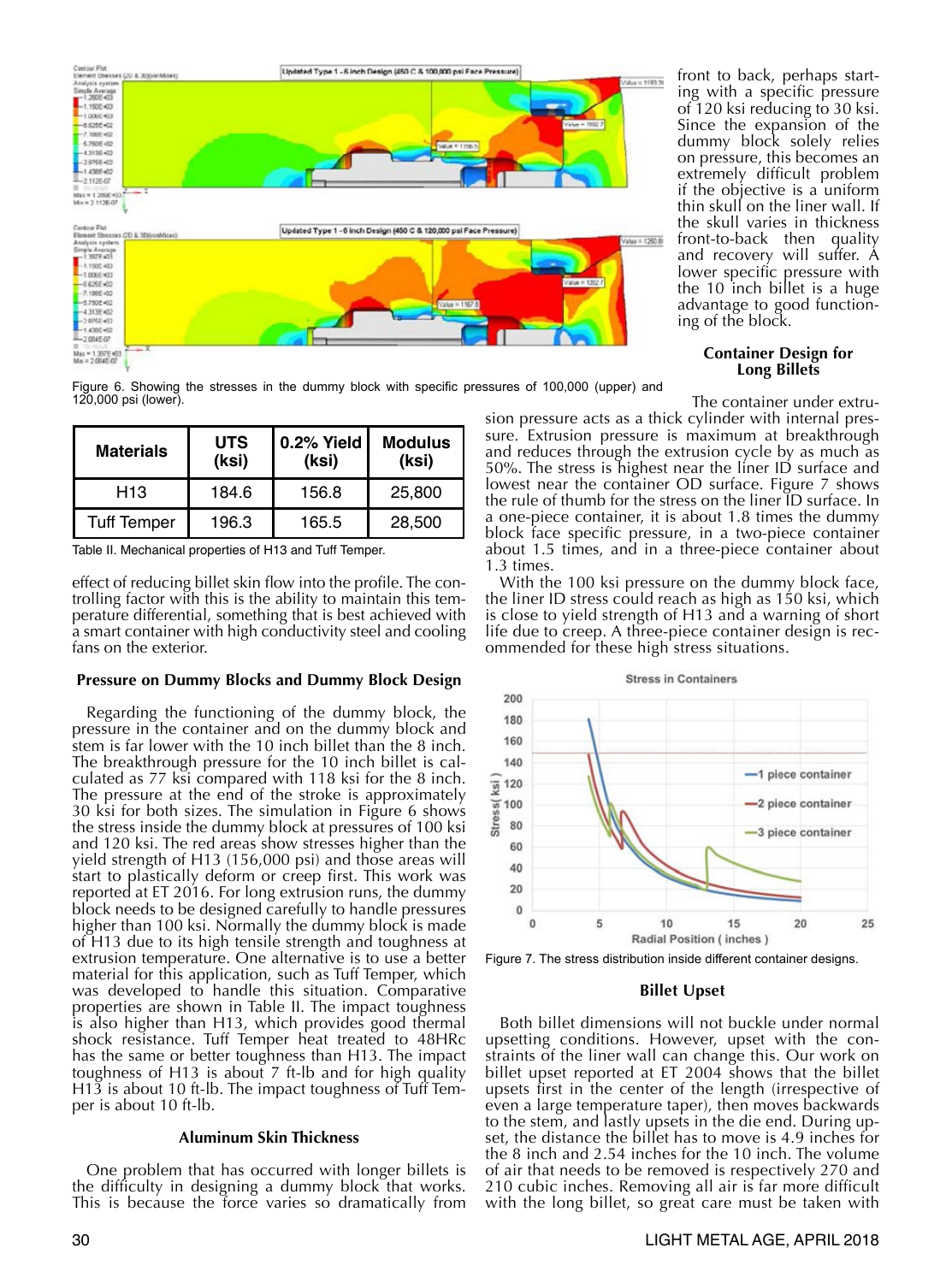

Figure 6. Showing the stresses in the dummy block with specific pressures of 100,000 (upper) and 120,000 psi (lower).

| <b>Materials</b>   | <b>UTS</b><br>(ksi) | 0.2% Yield<br>(ksi) | <b>Modulus</b><br>(ksi) |
|--------------------|---------------------|---------------------|-------------------------|
| H13                | 184.6               | 156.8               | 25,800                  |
| <b>Tuff Temper</b> | 196.3               | 165.5               | 28,500                  |

Table II. Mechanical properties of H13 and Tuff Temper.

effect of reducing billet skin flow into the profile. The controlling factor with this is the ability to maintain this temperature differential, something that is best achieved with a smart container with high conductivity steel and cooling fans on the exterior.

# **Pressure on Dummy Blocks and Dummy Block Design**

Regarding the functioning of the dummy block, the pressure in the container and on the dummy block and stem is far lower with the 10 inch billet than the 8 inch. The breakthrough pressure for the 10 inch billet is calculated as 77 ksi compared with 118 ksi for the 8 inch. The pressure at the end of the stroke is approximately 30 ksi for both sizes. The simulation in Figure 6 shows the stress inside the dummy block at pressures of 100 ksi and 120 ksi. The red areas show stresses higher than the yield strength of H13 (156,000 psi) and those areas will start to plastically deform or creep first. This work was reported at ET 2016. For long extrusion runs, the dummy block needs to be designed carefully to handle pressures higher than 100 ksi. Normally the dummy block is made of H13 due to its high tensile strength and toughness at extrusion temperature. One alternative is to use a better material for this application, such as Tuff Temper, which was developed to handle this situation. Comparative properties are shown in Table II. The impact toughness is also higher than H13, which provides good thermal shock resistance. Tuff Temper heat treated to 48HRc has the same or better toughness than H13. The impact toughness of H13 is about 7 ft-lb and for high quality H13 is about 10 ft-lb. The impact toughness of Tuff Temper is about 10 ft-lb.

#### **Aluminum Skin Thickness**

One problem that has occurred with longer billets is the difficulty in designing a dummy block that works. This is because the force varies so dramatically from front to back, perhaps starting with a specific pressure of 120 ksi reducing to 30 ksi. Since the expansion of the dummy block solely relies on pressure, this becomes an extremely difficult problem if the objective is a uniform thin skull on the liner wall. If the skull varies in thickness front-to-back then quality and recovery will suffer. A lower specific pressure with the 10 inch billet is a huge advantage to good functioning of the block.

#### **Container Design for Long Billets**

The container under extrusion pressure acts as a thick cylinder with internal pressure. Extrusion pressure is maximum at breakthrough and reduces through the extrusion cycle by as much as 50%. The stress is highest near the liner ID surface and lowest near the container OD surface. Figure 7 shows the rule of thumb for the stress on the liner ID surface. In a one-piece container, it is about 1.8 times the dummy block face specific pressure, in a two-piece container about 1.5 times, and in a three-piece container about

1.3 times. With the 100 ksi pressure on the dummy block face, the liner ID stress could reach as high as 150 ksi, which is close to yield strength of H13 and a warning of short life due to creep. A three-piece container design is recommended for these high stress situations.



Figure 7. The stress distribution inside different container designs.

# **Billet Upset**

Both billet dimensions will not buckle under normal upsetting conditions. However, upset with the constraints of the liner wall can change this. Our work on billet upset reported at ET 2004 shows that the billet upsets first in the center of the length (irrespective of even a large temperature taper), then moves backwards to the stem, and lastly upsets in the die end. During upset, the distance the billet has to move is 4.9 inches for the 8 inch and 2.54 inches for the 10 inch. The volume of air that needs to be removed is respectively 270 and 210 cubic inches. Removing all air is far more difficult with the long billet, so great care must be taken with